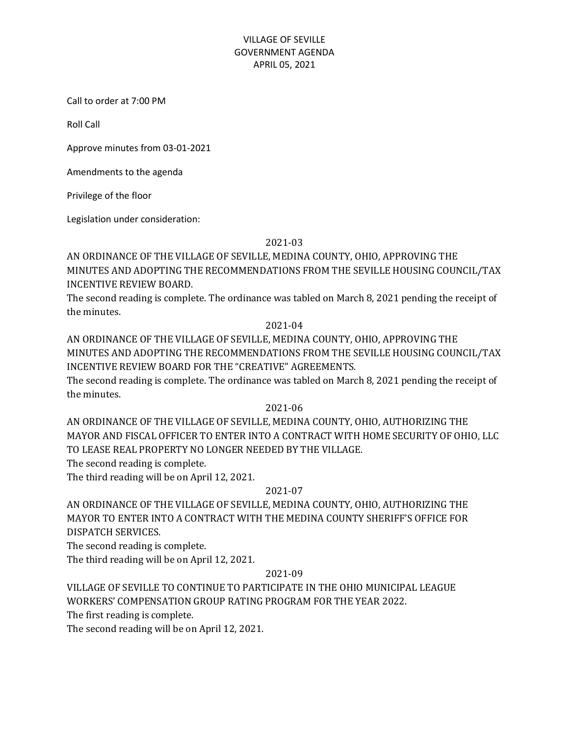## VILLAGE OF SEVILLE GOVERNMENT AGENDA APRIL 05, 2021

Call to order at 7:00 PM

Roll Call

Approve minutes from 03-01-2021

Amendments to the agenda

Privilege of the floor

Legislation under consideration:

### 2021-03

AN ORDINANCE OF THE VILLAGE OF SEVILLE, MEDINA COUNTY, OHIO, APPROVING THE MINUTES AND ADOPTING THE RECOMMENDATIONS FROM THE SEVILLE HOUSING COUNCIL/TAX INCENTIVE REVIEW BOARD.

The second reading is complete. The ordinance was tabled on March 8, 2021 pending the receipt of the minutes.

#### 2021-04

AN ORDINANCE OF THE VILLAGE OF SEVILLE, MEDINA COUNTY, OHIO, APPROVING THE MINUTES AND ADOPTING THE RECOMMENDATIONS FROM THE SEVILLE HOUSING COUNCIL/TAX INCENTIVE REVIEW BOARD FOR THE "CREATIVE" AGREEMENTS.

The second reading is complete. The ordinance was tabled on March 8, 2021 pending the receipt of the minutes.

2021-06

AN ORDINANCE OF THE VILLAGE OF SEVILLE, MEDINA COUNTY, OHIO, AUTHORIZING THE MAYOR AND FISCAL OFFICER TO ENTER INTO A CONTRACT WITH HOME SECURITY OF OHIO, LLC TO LEASE REAL PROPERTY NO LONGER NEEDED BY THE VILLAGE.

The second reading is complete.

The third reading will be on April 12, 2021.

## 2021-07

AN ORDINANCE OF THE VILLAGE OF SEVILLE, MEDINA COUNTY, OHIO, AUTHORIZING THE MAYOR TO ENTER INTO A CONTRACT WITH THE MEDINA COUNTY SHERIFF'S OFFICE FOR DISPATCH SERVICES.

The second reading is complete.

The third reading will be on April 12, 2021.

## 2021-09

VILLAGE OF SEVILLE TO CONTINUE TO PARTICIPATE IN THE OHIO MUNICIPAL LEAGUE WORKERS' COMPENSATION GROUP RATING PROGRAM FOR THE YEAR 2022.

The first reading is complete.

The second reading will be on April 12, 2021.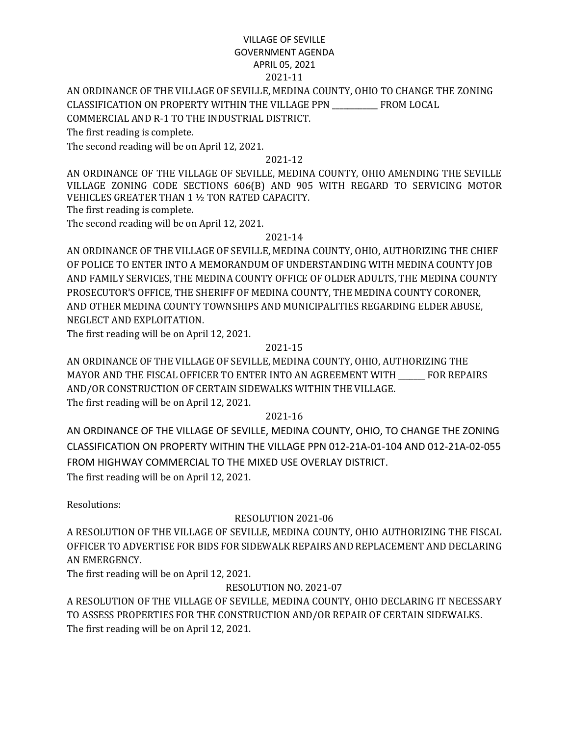## VILLAGE OF SEVILLE GOVERNMENT AGENDA APRIL 05, 2021 2021-11

## AN ORDINANCE OF THE VILLAGE OF SEVILLE, MEDINA COUNTY, OHIO TO CHANGE THE ZONING CLASSIFICATION ON PROPERTY WITHIN THE VILLAGE PPN \_\_\_\_\_\_\_\_\_\_\_\_ FROM LOCAL COMMERCIAL AND R-1 TO THE INDUSTRIAL DISTRICT.

The first reading is complete.

The second reading will be on April 12, 2021.

### 2021-12

AN ORDINANCE OF THE VILLAGE OF SEVILLE, MEDINA COUNTY, OHIO AMENDING THE SEVILLE VILLAGE ZONING CODE SECTIONS 606(B) AND 905 WITH REGARD TO SERVICING MOTOR VEHICLES GREATER THAN 1 ½ TON RATED CAPACITY.

The first reading is complete.

The second reading will be on April 12, 2021.

### 2021-14

AN ORDINANCE OF THE VILLAGE OF SEVILLE, MEDINA COUNTY, OHIO, AUTHORIZING THE CHIEF OF POLICE TO ENTER INTO A MEMORANDUM OF UNDERSTANDING WITH MEDINA COUNTY JOB AND FAMILY SERVICES, THE MEDINA COUNTY OFFICE OF OLDER ADULTS, THE MEDINA COUNTY PROSECUTOR'S OFFICE, THE SHERIFF OF MEDINA COUNTY, THE MEDINA COUNTY CORONER, AND OTHER MEDINA COUNTY TOWNSHIPS AND MUNICIPALITIES REGARDING ELDER ABUSE, NEGLECT AND EXPLOITATION.

The first reading will be on April 12, 2021.

## 2021-15

AN ORDINANCE OF THE VILLAGE OF SEVILLE, MEDINA COUNTY, OHIO, AUTHORIZING THE MAYOR AND THE FISCAL OFFICER TO ENTER INTO AN AGREEMENT WITH \_\_\_\_\_\_\_ FOR REPAIRS AND/OR CONSTRUCTION OF CERTAIN SIDEWALKS WITHIN THE VILLAGE. The first reading will be on April 12, 2021.

#### 2021-16

AN ORDINANCE OF THE VILLAGE OF SEVILLE, MEDINA COUNTY, OHIO, TO CHANGE THE ZONING CLASSIFICATION ON PROPERTY WITHIN THE VILLAGE PPN 012-21A-01-104 AND 012-21A-02-055 FROM HIGHWAY COMMERCIAL TO THE MIXED USE OVERLAY DISTRICT. The first reading will be on April 12, 2021.

Resolutions:

# RESOLUTION 2021-06

A RESOLUTION OF THE VILLAGE OF SEVILLE, MEDINA COUNTY, OHIO AUTHORIZING THE FISCAL OFFICER TO ADVERTISE FOR BIDS FOR SIDEWALK REPAIRS AND REPLACEMENT AND DECLARING AN EMERGENCY.

The first reading will be on April 12, 2021.

## RESOLUTION NO. 2021-07

A RESOLUTION OF THE VILLAGE OF SEVILLE, MEDINA COUNTY, OHIO DECLARING IT NECESSARY TO ASSESS PROPERTIES FOR THE CONSTRUCTION AND/OR REPAIR OF CERTAIN SIDEWALKS. The first reading will be on April 12, 2021.